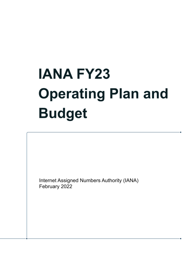# **IANA FY23 Operating Plan and Budget**

Internet Assigned Numbers Authority (IANA) February 2022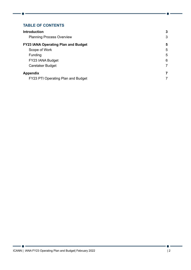#### **TABLE OF CONTENTS**

| <b>Introduction</b>                        | $\mathbf{3}$ |
|--------------------------------------------|--------------|
| <b>Planning Process Overview</b>           | 3            |
| <b>FY23 IANA Operating Plan and Budget</b> | 5            |
| Scope of Work                              | 5            |
| Funding                                    | 5            |
| FY23 IANA Budget                           | 6            |
| Caretaker Budget                           | 7            |
| <b>Appendix</b>                            | 7            |
| FY23 PTI Operating Plan and Budget         | 7            |

–•–

●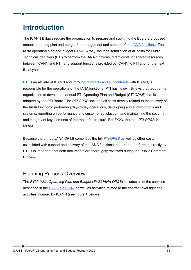## <span id="page-2-0"></span>**Introduction**

The ICANN Bylaws require the organization to prepare and submit to the Board a proposed annual operating plan and budget for management and support of the IANA [functions](https://www.iana.org). The IANA operating plan and budget (*IANA OP&B)* includes itemization of all costs for Public Technical Identifiers (PTI) to perform the IANA functions, direct costs for shared resources between ICANN and PTI, and support functions provided by ICANN to PTI and for the next fiscal year.

**[PTI](https://pti.icann.org/)** is an affiliate of ICANN and, through contracts and [subcontracts](https://pti.icann.org/agreements) with ICANN, is responsible for the operations of the IANA functions. PTI has its own Bylaws that require the organization to develop an annual PTI Operating Plan and Budget (*PTI OP&B*) that is adopted by the PTI Board. The *PTI OP&B* includes all costs directly related to the delivery of the IANA functions: performing day-to-day operations, developing and evolving tools and systems, reporting on performance and customer satisfaction, and maintaining the security and integrity of key elements of Internet infrastructure. For FY23, the total *PTI OP&B i*s \$9.8M.

Because the annual *IANA OP&B* comprises the full *PTI [OP&B](https://www.icann.org/en/public-comment/proceeding/draft-pti-and-iana-fy23-operating-plan-and-budgets-15-09-2021)* as well as other costs associated with support and delivery of the IANA functions that are not performed directly by PTI, it is important that both documents are thoroughly reviewed during the Public Comment Process.

#### <span id="page-2-1"></span>Planning Process Overview

The *FY23 IANA Operating Plan and Budget* (*FY23 IANA OP&B*) includes all of the services described in the *FY23 PTI [OP&B](https://www.icann.org/en/public-comment/proceeding/draft-pti-and-iana-fy23-operating-plan-and-budgets-15-09-2021)* as well as activities related to the contract oversight and activities incurred by ICANN (see figure 1 below).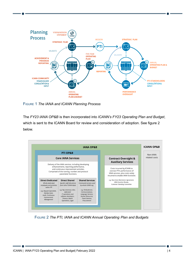

FIGURE 1 *The IANA and ICANN Planning Process*

The *FY23 IANA OP&B* is then incorporated into *ICANN's FY23 Operating Plan and Budget*, which is sent to the ICANN Board for review and consideration of adoption. See figure 2 below.



FIGURE 2 *The PTI, IANA and ICANN Annual Operating Plan and Budgets*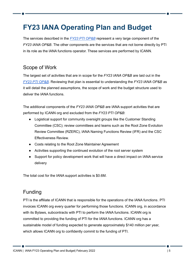## <span id="page-4-0"></span>**FY23 IANA Operating Plan and Budget**

The services described in the *FY23 PTI [OP&B](https://www.icann.org/en/public-comment/proceeding/draft-pti-and-iana-fy23-operating-plan-and-budgets-15-09-2021)* represent a very large component of the *FY23 IANA OP&B*. The other components are the services that are not borne directly by PTI in its role as the IANA functions operator. These services are performed by ICANN.

#### <span id="page-4-1"></span>Scope of Work

The largest set of activities that are in scope for the *FY23 IANA OP&B* are laid out in the *FY23 PTI [OP&B](https://www.icann.org/en/public-comment/proceeding/draft-pti-and-iana-fy23-operating-plan-and-budgets-15-09-2021)*. Reviewing that plan is essential to understanding the *FY23 IANA OP&B* as it will detail the planned assumptions, the scope of work and the budget structure used to deliver the IANA functions.

The additional components of the *FY23 IANA OP&B* are IANA support activities that are performed by ICANN org and excluded from the *FY23 PTI OP&B*:

- Logistical support for community oversight groups like the Customer Standing Committee (CSC); review committees and teams such as the Root Zone Evolution Review Committee (RZERC), IANA Naming Functions Review (IFR) and the CSC Effectiveness Review.
- Costs relating to the Root Zone Maintainer Agreement
- Activities supporting the continued evolution of the root server system
- Support for policy development work that will have a direct impact on IANA service delivery

The total cost for the IANA support activities is \$0.6M.

#### <span id="page-4-2"></span>Funding

PTI is the affiliate of ICANN that is responsible for the operations of the IANA functions. PTI invoices ICANN org every quarter for performing those functions. ICANN org, in accordance with its Bylaws, subcontracts with PTI to perform the IANA functions. ICANN org is committed to providing the funding of PTI for the IANA functions. ICANN org has a sustainable model of funding expected to generate approximately \$140 million per year, which allows ICANN org to confidently commit to the funding of PTI.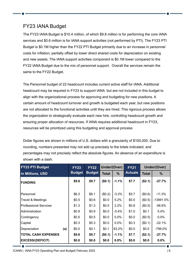#### <span id="page-5-0"></span>FY23 IANA Budget

The FY23 IANA Budget is \$10.4 million, of which \$9.8 million is for performing the core IANA services and \$0.6 million is for IANA support activities (not performed by PTI). The FY23 PTI Budget is \$0.1M higher than the FY22 PTI Budget primarily due to an increase in personnel costs for inflation; partially offset by lower direct shared costs for depreciation on existing and new assets. The IANA support activities component is \$0.1M lower compared to the FY22 IANA Budget due to the mix of personnel support. Overall the services remain the same to the FY22 Budget.

The Personnel budget of 22 headcount includes current active staff for IANA. Additional headcount may be required in FY23 to support IANA but are not included in this budget to align with the organizational process for approving and budgeting for new positions. A certain amount of headcount turnover and growth is budgeted each year, but new positions are not allocated to the functional activities until they are hired. This rigorous process allows the organization to strategically evaluate each new hire, controlling headcount growth and ensuring proper allocation of resources. If IANA requires additional headcount in FY23, resources will be prioritized using this budgeting and approval process

Dollar figures are shown in millions of U.S. dollars with a granularity of \$100,000. Due to rounding, numbers presented may not add up precisely to the totals indicated, and percentages may not precisely reflect the absolute figures. An absence of an expenditure is shown with a dash.

| <b>FY23 PTI Budget</b>       |     | <b>FY23</b>   | <b>FY22</b>   | Under/(Over) |               | <b>FY21</b>    | Under/(Over) |             |  |
|------------------------------|-----|---------------|---------------|--------------|---------------|----------------|--------------|-------------|--|
| in Millions, USD             |     | <b>Budget</b> | <b>Budget</b> | <b>Total</b> | $\frac{9}{6}$ | <b>Actuals</b> | <b>Total</b> | $\%$        |  |
| <b>FUNDING</b>               |     | \$9.8         | \$9.7         | (\$0.1)      | $-1.1%$       | \$7.7          | (\$2.1)      | $-27.7%$    |  |
|                              |     |               |               |              |               |                |              |             |  |
| Personnel                    |     | \$6.3         | \$6.1         | (\$0.2)      | $-3.3%$       | \$5.7          | (\$0.6)      | $-11.3%$    |  |
| <b>Travel &amp; Meetings</b> |     | \$0.5         | \$0.6         | \$0.0\$      | 5.2%          | \$0.0          | (\$0.5)      | $-13991.5%$ |  |
| <b>Professional Services</b> |     | \$1.3         | \$1.3         | \$0.0\$      | 2.2%          | \$0.8          | (\$0.5)      | -56.6%      |  |
| Administration               |     | \$0.9         | \$0.9         | \$0.0        | $-5.4%$       | \$1.0          | \$0.1        | 5.4%        |  |
| Contingency                  |     | \$0.5         | \$0.5         | \$0.0        | $0.0\%$       | \$0.0          | (\$0.5)      | $0.0\%$     |  |
| Capital                      |     | \$0.3         | \$0.3         | \$0.0\$      | $0.0\%$       | \$0.3          | (\$0.1)      | $-22.1%$    |  |
| Depreciation                 | (a) | \$0.0\$       | \$0.1         | \$0.1        | 83.2%         | \$0.0          | \$0.0        | -799.0%     |  |
| <b>TOTAL CASH EXPENSES</b>   |     | \$9.8         | \$9.7         | (\$0.1)      | $-1.1%$       | \$7.7          | (\$2.1)      | $-27.7%$    |  |
| <b>EXCESS/(DEFICIT)</b>      |     | \$0.0         | \$0.0         | \$0.0        | 0.0%          | \$0.0          | \$0.0        | $0.0\%$     |  |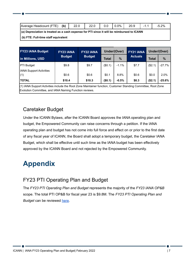| (b)<br><b>IAverage</b><br>Headcount<br>⊆<br>. . |         | nn<br>22.V | $0\%$<br>v.v | ററ<br>∠ບ.ອ | -   | 20/<br>O.Z70 |
|-------------------------------------------------|---------|------------|--------------|------------|-----|--------------|
|                                                 | $- - -$ |            |              |            | . . |              |

**(a) Depreciation is treated as a cash expense for PTI since it will be reimbursed to ICANN**

**(b) FTE: Full-time staff equivalent**

| <b>FY23 IANA Budget</b>                                                                                                                                                 | <b>FY23 IANA</b> | <b>FY22 IANA</b><br><b>Budget</b> |              | Under/(Over) | <b>FY21 IANA</b><br><b>Actuals</b> | Under/(Over) |               |  |  |
|-------------------------------------------------------------------------------------------------------------------------------------------------------------------------|------------------|-----------------------------------|--------------|--------------|------------------------------------|--------------|---------------|--|--|
| in Millions, USD                                                                                                                                                        | <b>Budget</b>    |                                   | <b>Total</b> | %            |                                    | <b>Total</b> | $\frac{9}{6}$ |  |  |
| <b>PTI</b> Budget                                                                                                                                                       | \$9.8            | \$9.7                             | (\$0.1)      | $-1.1%$      | \$7.7                              | (\$2.1)      | $-27.7%$      |  |  |
| <b>IANA Support Activities</b><br>(1)                                                                                                                                   | \$0.6            | \$0.6                             | \$0.1        | 8.8%         | \$0.6                              | \$0.0        | 2.0%          |  |  |
| <b>TOTAL</b>                                                                                                                                                            | \$10.4           | \$10.3                            | (\$0.1)      | $-0.5%$      | \$8.3                              | (\$2.1)      | $-25.6%$      |  |  |
| (1) IANA Support Activities include the Root Zone Maintainer function, Customer Standing Committee, Root Zone<br>Evolution Committee, and IANA Naming Function reviews. |                  |                                   |              |              |                                    |              |               |  |  |

#### <span id="page-6-0"></span>Caretaker Budget

Under the ICANN Bylaws, after the ICANN Board approves the IANA operating plan and budget, the Empowered Community can raise concerns through a petition. If the IANA operating plan and budget has not come into full force and effect on or prior to the first date of any fiscal year of ICANN, the Board shall adopt a temporary budget, the Caretaker IANA Budget, which shall be effective until such time as the IANA budget has been effectively approved by the ICANN Board and not rejected by the Empowered Community.

## <span id="page-6-1"></span>**Appendix**

### <span id="page-6-2"></span>FY23 PTI Operating Plan and Budget

The *FY23 PTI Operating Plan and Budget* represents the majority of the *FY23 IANA OP&B* scope. The total PTI OP&B for fiscal year 23 is \$9.8M. The *FY23 PTI Operating Plan and Budget* can be reviewed [here.](https://pti.icann.org/financial-information-for-public-technical-identifiers-pti)